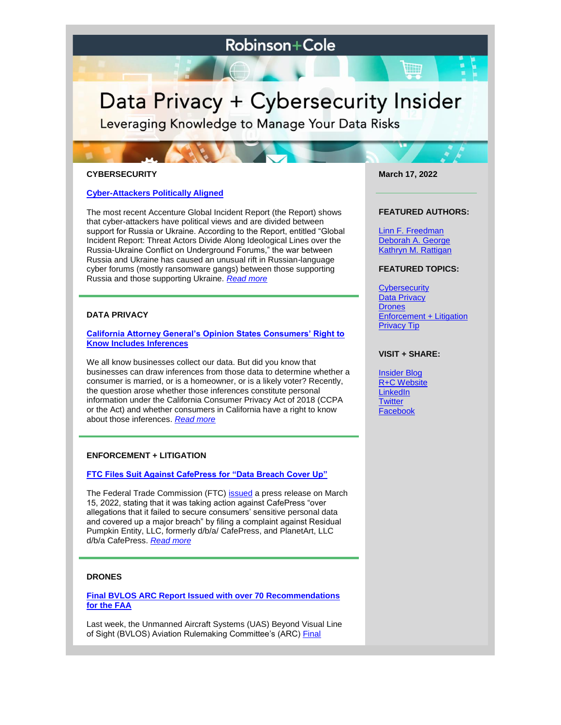# **Robinson+Cole**

# Data Privacy + Cybersecurity Insider

Leveraging Knowledge to Manage Your Data Risks

# **CYBERSECURITY**

# **[Cyber-Attackers Politically Aligned](https://www.dataprivacyandsecurityinsider.com/2022/03/cyber-attackers-politically-aligned/)**

The most recent Accenture Global Incident Report (the Report) shows that cyber-attackers have political views and are divided between support for Russia or Ukraine. According to the Report, entitled "Global Incident Report: Threat Actors Divide Along Ideological Lines over the Russia-Ukraine Conflict on Underground Forums," the war between Russia and Ukraine has caused an unusual rift in Russian-language cyber forums (mostly ransomware gangs) between those supporting Russia and those supporting Ukraine. *[Read more](https://www.dataprivacyandsecurityinsider.com/2022/03/cyber-attackers-politically-aligned/)*

# **DATA PRIVACY**

#### **[California Attorney General's Opinion States Consumers' Right to](https://www.dataprivacyandsecurityinsider.com/2022/03/california-attorney-generals-opinion-states-that-consumers-right-to-know-includes-inferences/)  [Know Includes Inferences](https://www.dataprivacyandsecurityinsider.com/2022/03/california-attorney-generals-opinion-states-that-consumers-right-to-know-includes-inferences/)**

We all know businesses collect our data. But did you know that businesses can draw inferences from those data to determine whether a consumer is married, or is a homeowner, or is a likely voter? Recently, the question arose whether those inferences constitute personal information under the California Consumer Privacy Act of 2018 (CCPA or the Act) and whether consumers in California have a right to know about those inferences. *[Read more](https://www.dataprivacyandsecurityinsider.com/2022/03/california-attorney-generals-opinion-states-that-consumers-right-to-know-includes-inferences/)*

#### **ENFORCEMENT + LITIGATION**

## **[FTC Files Suit Against CafePress for "Data Breach Cover Up"](https://www.dataprivacyandsecurityinsider.com/2022/03/ftc-files-suit-against-cafepress-for-data-breach-cover-up/)**

The Federal Trade Commission (FTC) [issued](https://www.ftc.gov/system/files/ftc_gov/pdf/CafePress-Complaint_0.pdf?utm_source=govdelivery) a press release on March 15, 2022, stating that it was taking action against CafePress "over allegations that it failed to secure consumers' sensitive personal data and covered up a major breach" by filing a complaint against Residual Pumpkin Entity, LLC, formerly d/b/a/ CafePress, and PlanetArt, LLC d/b/a CafePress. *[Read more](https://www.dataprivacyandsecurityinsider.com/2022/03/ftc-files-suit-against-cafepress-for-data-breach-cover-up/)*

## **DRONES**

**[Final BVLOS ARC Report Issued with over 70 Recommendations](https://www.dataprivacyandsecurityinsider.com/2022/03/final-bvlos-arc-report-issued-with-over-70-recommendations-for-the-faa/)  [for the FAA](https://www.dataprivacyandsecurityinsider.com/2022/03/final-bvlos-arc-report-issued-with-over-70-recommendations-for-the-faa/)**

Last week, the Unmanned Aircraft Systems (UAS) Beyond Visual Line of Sight (BVLOS) Aviation Rulemaking Committee's (ARC) [Final](https://www.faa.gov/regulations_policies/rulemaking/committees/documents/media/UAS_BVLOS_ARC_FINAL_REPORT_03102022.pdf) 

**March 17, 2022**

W

#### **FEATURED AUTHORS:**

[Linn F. Freedman](https://www.rc.com/people/LinnFFreedman.cfm) [Deborah A. George](https://www.rc.com/people/DeborahAGeorge.cfm) [Kathryn M. Rattigan](https://www.rc.com/people/kathrynmrattigan.cfm)

#### **FEATURED TOPICS:**

**[Cybersecurity](https://www.dataprivacyandsecurityinsider.com/category/cybersecurity/)** [Data Privacy](https://www.dataprivacyandsecurityinsider.com/category/data-privacy/) **[Drones](https://www.dataprivacyandsecurityinsider.com/category/drones/)** [Enforcement + Litigation](https://www.dataprivacyandsecurityinsider.com/category/enforcement-litigation/) [Privacy Tip](https://www.dataprivacyandsecurityinsider.com/category/privacy-tips/)

# **VISIT + SHARE:**

[Insider Blog](https://www.dataprivacyandsecurityinsider.com/) [R+C Website](http://www.rc.com/) **[LinkedIn](https://www.linkedin.com/company/robinson-&-cole-llp) [Twitter](https://twitter.com/RobinsonCole)** [Facebook](https://www.facebook.com/RobinsonCole-144331422248207/)